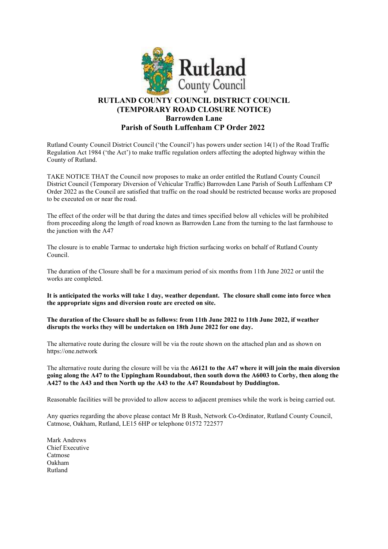

## RUTLAND COUNTY COUNCIL DISTRICT COUNCIL (TEMPORARY ROAD CLOSURE NOTICE) Barrowden Lane Parish of South Luffenham CP Order 2022

Rutland County Council District Council ('the Council') has powers under section 14(1) of the Road Traffic Regulation Act 1984 ('the Act') to make traffic regulation orders affecting the adopted highway within the County of Rutland.

TAKE NOTICE THAT the Council now proposes to make an order entitled the Rutland County Council District Council (Temporary Diversion of Vehicular Traffic) Barrowden Lane Parish of South Luffenham CP Order 2022 as the Council are satisfied that traffic on the road should be restricted because works are proposed to be executed on or near the road.

The effect of the order will be that during the dates and times specified below all vehicles will be prohibited from proceeding along the length of road known as Barrowden Lane from the turning to the last farmhouse to the junction with the A47

The closure is to enable Tarmac to undertake high friction surfacing works on behalf of Rutland County Council.

The duration of the Closure shall be for a maximum period of six months from 11th June 2022 or until the works are completed.

It is anticipated the works will take 1 day, weather dependant. The closure shall come into force when the appropriate signs and diversion route are erected on site.

The duration of the Closure shall be as follows: from 11th June 2022 to 11th June 2022, if weather disrupts the works they will be undertaken on 18th June 2022 for one day.

The alternative route during the closure will be via the route shown on the attached plan and as shown on https://one.network

The alternative route during the closure will be via the A6121 to the A47 where it will join the main diversion going along the A47 to the Uppingham Roundabout, then south down the A6003 to Corby, then along the A427 to the A43 and then North up the A43 to the A47 Roundabout by Duddington.

Reasonable facilities will be provided to allow access to adjacent premises while the work is being carried out.

Any queries regarding the above please contact Mr B Rush, Network Co-Ordinator, Rutland County Council, Catmose, Oakham, Rutland, LE15 6HP or telephone 01572 722577

Mark Andrews Chief Executive Catmose Oakham Rutland